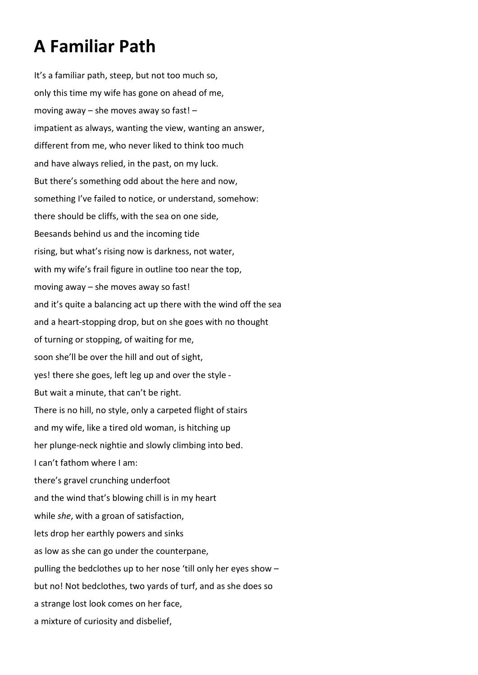## **A Familiar Path**

It's a familiar path, steep, but not too much so, only this time my wife has gone on ahead of me, moving away – she moves away so fast! – impatient as always, wanting the view, wanting an answer, different from me, who never liked to think too much and have always relied, in the past, on my luck. But there's something odd about the here and now, something I've failed to notice, or understand, somehow: there should be cliffs, with the sea on one side, Beesands behind us and the incoming tide rising, but what's rising now is darkness, not water, with my wife's frail figure in outline too near the top, moving away – she moves away so fast! and it's quite a balancing act up there with the wind off the sea and a heart-stopping drop, but on she goes with no thought of turning or stopping, of waiting for me, soon she'll be over the hill and out of sight, yes! there she goes, left leg up and over the style - But wait a minute, that can't be right. There is no hill, no style, only a carpeted flight of stairs and my wife, like a tired old woman, is hitching up her plunge-neck nightie and slowly climbing into bed. I can't fathom where I am: there's gravel crunching underfoot and the wind that's blowing chill is in my heart while *she*, with a groan of satisfaction, lets drop her earthly powers and sinks as low as she can go under the counterpane, pulling the bedclothes up to her nose 'till only her eyes show – but no! Not bedclothes, two yards of turf, and as she does so a strange lost look comes on her face, a mixture of curiosity and disbelief,